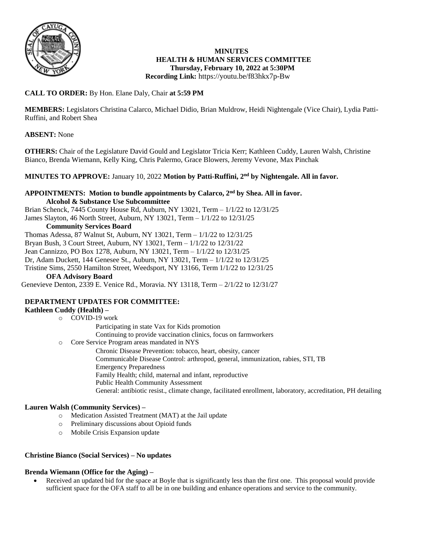

#### **MINUTES HEALTH & HUMAN SERVICES COMMITTEE Thursday, February 10, 2022 at 5:30PM Recording Link:** <https://youtu.be/f83hkx7p-Bw>

# **CALL TO ORDER:** By Hon. Elane Daly, Chair **at 5:59 PM**

**MEMBERS:** Legislators Christina Calarco, Michael Didio, Brian Muldrow, Heidi Nightengale (Vice Chair), Lydia Patti-Ruffini, and Robert Shea

## **ABSENT:** None

**OTHERS:** Chair of the Legislature David Gould and Legislator Tricia Kerr; Kathleen Cuddy, Lauren Walsh, Christine Bianco, Brenda Wiemann, Kelly King, Chris Palermo, Grace Blowers, Jeremy Vevone, Max Pinchak

## **MINUTES TO APPROVE:** January 10, 2022 **Motion by Patti-Ruffini, 2nd by Nightengale. All in favor.**

#### **APPOINTMENTS: Motion to bundle appointments by Calarco, 2nd by Shea. All in favor. Alcohol & Substance Use Subcommittee**

Brian Schenck, 7445 County House Rd, Auburn, NY 13021, Term – 1/1/22 to 12/31/25 James Slayton, 46 North Street, Auburn, NY 13021, Term – 1/1/22 to 12/31/25

#### **Community Services Board**

Thomas Adessa, 87 Walnut St, Auburn, NY 13021, Term – 1/1/22 to 12/31/25 Bryan Bush, 3 Court Street, Auburn, NY 13021, Term – 1/1/22 to 12/31/22 Jean Cannizzo, PO Box 1278, Auburn, NY 13021, Term – 1/1/22 to 12/31/25 Dr, Adam Duckett, 144 Genesee St., Auburn, NY 13021, Term – 1/1/22 to 12/31/25 Tristine Sims, 2550 Hamilton Street, Weedsport, NY 13166, Term 1/1/22 to 12/31/25 **OFA Advisory Board**

Genevieve Denton, 2339 E. Venice Rd., Moravia. NY 13118, Term – 2/1/22 to 12/31/27

## **DEPARTMENT UPDATES FOR COMMITTEE:**

## **Kathleen Cuddy (Health) –**

o COVID-19 work

Participating in state Vax for Kids promotion

Continuing to provide vaccination clinics, focus on farmworkers

- o Core Service Program areas mandated in NYS
	- Chronic Disease Prevention: tobacco, heart, obesity, cancer
	- Communicable Disease Control: arthropod, general, immunization, rabies, STI, TB
	- Emergency Preparedness
	- Family Health; child, maternal and infant, reproductive
	- Public Health Community Assessment
	- General: antibiotic resist., climate change, facilitated enrollment, laboratory, accreditation, PH detailing

## **Lauren Walsh (Community Services) –**

- o Medication Assisted Treatment (MAT) at the Jail update
- o Preliminary discussions about Opioid funds
- o Mobile Crisis Expansion update

## **Christine Bianco (Social Services) – No updates**

## **Brenda Wiemann (Office for the Aging) –**

 Received an updated bid for the space at Boyle that is significantly less than the first one. This proposal would provide sufficient space for the OFA staff to all be in one building and enhance operations and service to the community.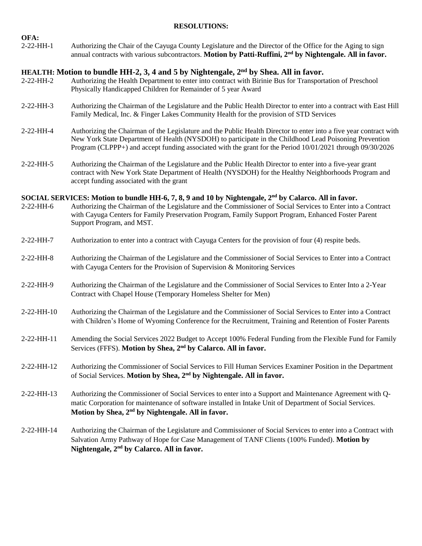### **RESOLUTIONS:**

| 2-22-HH-1 | Authorizing the Chair of the Cayuga County Legislature and the Director of the Office for the Aging to sign          |
|-----------|----------------------------------------------------------------------------------------------------------------------|
|           | annual contracts with various subcontractors. Motion by Patti-Ruffini, 2 <sup>nd</sup> by Nightengale. All in favor. |

## **HEALTH: Motion to bundle HH-2, 3, 4 and 5 by Nightengale, 2nd by Shea. All in favor.**

**OFA:**

- 2-22-HH-2 Authorizing the Health Department to enter into contract with Birinie Bus for Transportation of Preschool Physically Handicapped Children for Remainder of 5 year Award
- 2-22-HH-3 Authorizing the Chairman of the Legislature and the Public Health Director to enter into a contract with East Hill Family Medical, Inc. & Finger Lakes Community Health for the provision of STD Services
- 2-22-HH-4 Authorizing the Chairman of the Legislature and the Public Health Director to enter into a five year contract with New York State Department of Health (NYSDOH) to participate in the Childhood Lead Poisoning Prevention Program (CLPPP+) and accept funding associated with the grant for the Period 10/01/2021 through 09/30/2026
- 2-22-HH-5 Authorizing the Chairman of the Legislature and the Public Health Director to enter into a five-year grant contract with New York State Department of Health (NYSDOH) for the Healthy Neighborhoods Program and accept funding associated with the grant

## **SOCIAL SERVICES: Motion to bundle HH-6, 7, 8, 9 and 10 by Nightengale, 2nd by Calarco. All in favor.**

- 2-22-HH-6 Authorizing the Chairman of the Legislature and the Commissioner of Social Services to Enter into a Contract with Cayuga Centers for Family Preservation Program, Family Support Program, Enhanced Foster Parent Support Program, and MST.
- 2-22-HH-7 Authorization to enter into a contract with Cayuga Centers for the provision of four (4) respite beds.
- 2-22-HH-8 Authorizing the Chairman of the Legislature and the Commissioner of Social Services to Enter into a Contract with Cayuga Centers for the Provision of Supervision & Monitoring Services
- 2-22-HH-9 Authorizing the Chairman of the Legislature and the Commissioner of Social Services to Enter Into a 2-Year Contract with Chapel House (Temporary Homeless Shelter for Men)
- 2-22-HH-10 Authorizing the Chairman of the Legislature and the Commissioner of Social Services to Enter into a Contract with Children's Home of Wyoming Conference for the Recruitment, Training and Retention of Foster Parents
- 2-22-HH-11 Amending the Social Services 2022 Budget to Accept 100% Federal Funding from the Flexible Fund for Family Services (FFFS). **Motion by Shea, 2nd by Calarco. All in favor.**
- 2-22-HH-12 Authorizing the Commissioner of Social Services to Fill Human Services Examiner Position in the Department of Social Services. **Motion by Shea, 2nd by Nightengale. All in favor.**
- 2-22-HH-13 Authorizing the Commissioner of Social Services to enter into a Support and Maintenance Agreement with Qmatic Corporation for maintenance of software installed in Intake Unit of Department of Social Services. **Motion by Shea, 2nd by Nightengale. All in favor.**
- 2-22-HH-14 Authorizing the Chairman of the Legislature and Commissioner of Social Services to enter into a Contract with Salvation Army Pathway of Hope for Case Management of TANF Clients (100% Funded). **Motion by Nightengale, 2nd by Calarco. All in favor.**